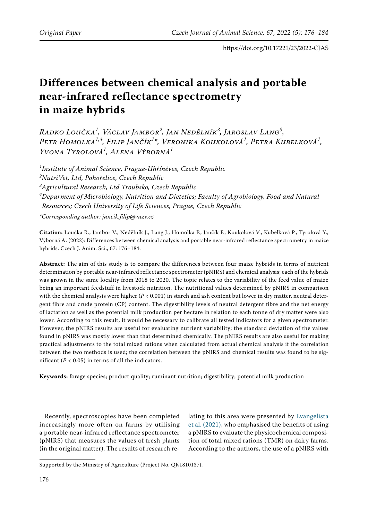# **Differences between chemical analysis and portable near-infrared reflectance spectrometry in maize hybrids**

*Radko Loučka<sup>1</sup> , Václav Jambor<sup>2</sup> , Jan Nedělník<sup>3</sup> , Jaroslav Lang<sup>3</sup> , Petr Homolka1,4, Filip Jančík1 \*, Veronika Koukolová<sup>1</sup> , Petra Kubelková<sup>1</sup> , Yvona Tyrolová<sup>1</sup> , Alena Výborná<sup>1</sup>*

 *Institute of Animal Science, Prague-Uhříněves, Czech Republic NutriVet, Ltd, Pohořelice, Czech Republic Agricultural Research, Ltd Troubsko, Czech Republic Deparment of Microbiology, Nutrition and Dietetics; Faculty of Agrobiology, Food and Natural Resources; Czech University of Life Sciences, Prague, Czech Republic*

*\*Corresponding author: jancik.filip@vuzv.cz*

**Citation:** Loučka R., Jambor V., Nedělník J., Lang J., Homolka P., Jančík F., Koukolová V., Kubelková P., Tyrolová Y., Výborná A. (2022): Differences between chemical analysis and portable near-infrared reflectance spectrometry in maize hybrids. Czech J. Anim. Sci., 67: 176–184.

**Abstract:** The aim of this study is to compare the differences between four maize hybrids in terms of nutrient determination by portable near-infrared reflectance spectrometer (pNIRS) and chemical analysis; each of the hybrids was grown in the same locality from 2018 to 2020. The topic relates to the variability of the feed value of maize being an important feedstuff in livestock nutrition. The nutritional values determined by pNIRS in comparison with the chemical analysis were higher  $(P < 0.001)$  in starch and ash content but lower in dry matter, neutral detergent fibre and crude protein (CP) content. The digestibility levels of neutral detergent fibre and the net energy of lactation as well as the potential milk production per hectare in relation to each tonne of dry matter were also lower. According to this result, it would be necessary to calibrate all tested indicators for a given spectrometer. However, the pNIRS results are useful for evaluating nutrient variability; the standard deviation of the values found in pNIRS was mostly lower than that determined chemically. The pNIRS results are also useful for making practical adjustments to the total mixed rations when calculated from actual chemical analysis if the correlation between the two methods is used; the correlation between the pNIRS and chemical results was found to be significant  $(P < 0.05)$  in terms of all the indicators.

**Keywords:** forage species; product quality; ruminant nutrition; digestibility; potential milk production

Recently, spectroscopies have been completed increasingly more often on farms by utilising a portable near-infrared reflectance spectrometer (pNIRS) that measures the values of fresh plants (in the original matter). The results of research relating to this area were presented by [Evangelista](#page-8-0) [et al. \(2021\),](#page-8-0) who emphasised the benefits of using a pNIRS to evaluate the physicochemical composition of total mixed rations (TMR) on dairy farms. According to the authors, the use of a pNIRS with

Supported by the Ministry of Agriculture (Project No. QK1810137).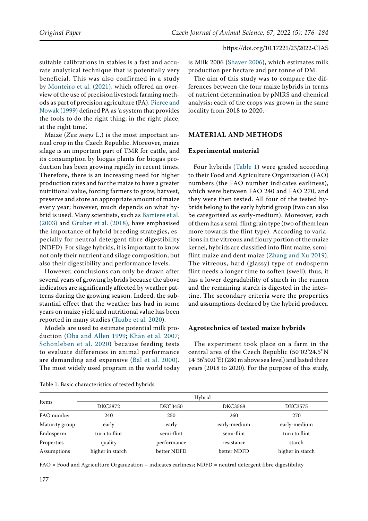suitable calibrations in stables is a fast and accurate analytical technique that is potentially very beneficial. This was also confirmed in a study by [Monteiro et al. \(2021\),](#page-8-1) which offered an overview of the use of precision livestock farming methods as part of precision agriculture (PA). [Pierce and](#page-8-2)  [Nowak \(1999\)](#page-8-2) defined PA as 'a system that provides the tools to do the right thing, in the right place, at the right time'.

Maize (*Zea mays* L.) is the most important annual crop in the Czech Republic. Moreover, maize silage is an important part of TMR for cattle, and its consumption by biogas plants for biogas production has been growing rapidly in recent times. Therefore, there is an increasing need for higher production rates and for the maize to have a greater nutritional value, forcing farmers to grow, harvest, preserve and store an appropriate amount of maize every year; however, much depends on what hybrid is used. Many scientists, such as [Barriere et al.](#page-8-3)  [\(2003\)](#page-8-3) and [Gruber et al. \(2018\)](#page-8-4), have emphasised the importance of hybrid breeding strategies, especially for neutral detergent fibre digestibility (NDFD). For silage hybrids, it is important to know not only their nutrient and silage composition, but also their digestibility and performance levels.

However, conclusions can only be drawn after several years of growing hybrids because the above indicators are significantly affected by weather patterns during the growing season. Indeed, the substantial effect that the weather has had in some years on maize yield and nutritional value has been reported in many studies ([Taube et al. 2020](#page-8-5)).

Models are used to estimate potential milk production ([Oba and Allen 1999;](#page-8-6) [Khan et al. 2007](#page-8-7); [Schonleben et al. 2020](#page-8-8)) because feeding tests to evaluate differences in animal performance are demanding and expensive ([Bal et al. 2000](#page-7-0)). The most widely used program in the world today

is Milk 2006 ([Shaver 2006\)](#page-8-9), which estimates milk production per hectare and per tonne of DM.

The aim of this study was to compare the differences between the four maize hybrids in terms of nutrient determination by pNIRS and chemical analysis; each of the crops was grown in the same locality from 2018 to 2020.

# **MATERIAL AND METHODS**

#### **Experimental material**

Four hybrids (Table 1) were graded according to their Food and Agriculture Organization (FAO) numbers (the FAO number indicates earliness), which were between FAO 240 and FAO 270, and they were then tested. All four of the tested hybrids belong to the early hybrid group (two can also be categorised as early-medium). Moreover, each of them has a semi-flint grain type (two of them lean more towards the flint type). According to variations in the vitreous and floury portion of the maize kernel, hybrids are classified into flint maize, semiflint maize and dent maize ([Zhang and Xu 2019](#page-8-10)). The vitreous, hard (glassy) type of endosperm flint needs a longer time to soften (swell); thus, it has a lower degradability of starch in the rumen and the remaining starch is digested in the intestine. The secondary criteria were the properties and assumptions declared by the hybrid producer.

## **Agrotechnics of tested maize hybrids**

The experiment took place on a farm in the central area of the Czech Republic (50°02'24.5''N 14°36'50.0''E) (280 m above sea level) and lasted three years (2018 to 2020). For the purpose of this study,

| Items          | Hybrid           |                |                |                  |  |  |  |  |
|----------------|------------------|----------------|----------------|------------------|--|--|--|--|
|                | <b>DKC3872</b>   | <b>DKC3450</b> | <b>DKC3568</b> | <b>DKC3575</b>   |  |  |  |  |
| FAO number     | 240              | 250            | 260            | 270              |  |  |  |  |
| Maturity group | early            | early          | early-medium   | early-medium     |  |  |  |  |
| Endosperm      | turn to flint    | semi-flint     | semi-flint     | turn to flint    |  |  |  |  |
| Properties     | quality          | performance    | resistance     | starch           |  |  |  |  |
| Assumptions    | higher in starch | better NDFD    | better NDFD    | higher in starch |  |  |  |  |

Table 1. Basic characteristics of tested hybrids

FAO = Food and Agriculture Organization – indicates earliness; NDFD = neutral detergent fibre digestibility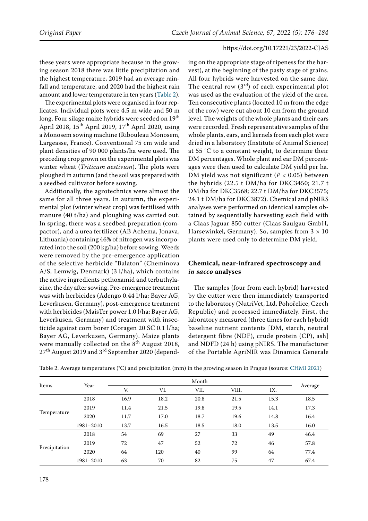these years were appropriate because in the growing season 2018 there was little precipitation and the highest temperature, 2019 had an average rainfall and temperature, and 2020 had the highest rain amount and lower temperature in ten years (Table 2).

The experimental plots were organised in four replicates. Individual plots were 4.5 m wide and 50 m long. Four silage maize hybrids were seeded on 19<sup>th</sup> April 2018,  $15^{th}$  April 2019,  $17^{th}$  April 2020, using a Monosem sowing machine (Ribouleau Monosem, Largeasse, France). Conventional 75 cm wide and plant densities of 90 000 plants/ha were used. The preceding crop grown on the experimental plots was winter wheat (*Triticum aestivum*). The plots were ploughed in autumn (and the soil was prepared with a seedbed cultivator before sowing.

Additionally, the agrotechnics were almost the same for all three years. In autumn, the experimental plot (winter wheat crop) was fertilised with manure (40 t/ha) and ploughing was carried out. In spring, there was a seedbed preparation (compactor), and a urea fertilizer (AB Achema, Jonava, Lithuania) containing 46% of nitrogen was incorporated into the soil (200 kg/ha) before sowing. Weeds were removed by the pre-emergence application of the selective herbicide "Balaton" (Cheminova A/S, Lemwig, Denmark) (3 l/ha), which contains the active ingredients pethoxamid and terbuthylazine, the day after sowing. Pre-emergence treatment was with herbicides (Adengo 0.44 l/ha; Bayer AG, Leverkusen, Germany), post-emergence treatment with herbicides (MaisTer power 1.0 l/ha; Bayer AG, Leverkusen, Germany) and treatment with insecticide against corn borer (Coragen 20 SC 0.1 l/ha; Bayer AG, Leverkusen, Germany). Maize plants were manually collected on the 8<sup>th</sup> August 2018, 27<sup>th</sup> August 2019 and 3<sup>rd</sup> September 2020 (depending on the appropriate stage of ripeness for the harvest), at the beginning of the pasty stage of grains. All four hybrids were harvested on the same day. The central row  $(3<sup>rd</sup>)$  of each experimental plot was used as the evaluation of the yield of the area. Ten consecutive plants (located 10 m from the edge of the row) were cut about 10 cm from the ground level. The weights of the whole plants and their ears were recorded. Fresh representative samples of the whole plants, ears, and kernels from each plot were dried in a laboratory (Institute of Animal Science) at 55 °C to a constant weight, to determine their DM percentages. Whole plant and ear DM percentages were then used to calculate DM yield per ha. DM yield was not significant (*P* < 0.05) between the hybrids (22.5 t DM/ha for DKC3450; 21.7 t DM/ha for DKC3568; 22.7 t DM/ha for DKC3575; 24.1 t DM/ha for DKC3872). Chemical and pNIRS analyses were performed on identical samples obtained by sequentially harvesting each field with a Claas Jaguar 850 cutter (Claas Saulgau GmbH, Harsewinkel, Germany). So, samples from  $3 \times 10$ plants were used only to determine DM yield.

# **Chemical, near-infrared spectroscopy and**  *in sacco* **analyses**

The samples (four from each hybrid) harvested by the cutter were then immediately transported to the laboratory (NutriVet, Ltd, Pohořelice, Czech Republic) and processed immediately. First, the laboratory measured (three times for each hybrid) baseline nutrient contents [DM, starch, neutral detergent fibre (NDF), crude protein (CP), ash] and NDFD (24 h) using pNIRS. The manufacturer of the Portable AgriNIR was Dinamica Generale

| Items         |           |      |      |      |       |      |         |
|---------------|-----------|------|------|------|-------|------|---------|
|               | Year      | V.   | VI.  | VII. | VIII. | IX.  | Average |
| Temperature   | 2018      | 16.9 | 18.2 | 20.8 | 21.5  | 15.3 | 18.5    |
|               | 2019      | 11.4 | 21.5 | 19.8 | 19.5  | 14.1 | 17.3    |
|               | 2020      | 11.7 | 17.0 | 18.7 | 19.6  | 14.8 | 16.4    |
|               | 1981-2010 | 13.7 | 16.5 | 18.5 | 18.0  | 13.5 | 16.0    |
| Precipitation | 2018      | 54   | 69   | 27   | 33    | 49   | 46.4    |
|               | 2019      | 72   | 47   | 52   | 72    | 46   | 57.8    |
|               | 2020      | 64   | 120  | 40   | 99    | 64   | 77.4    |
|               | 1981-2010 | 63   | 70   | 82   | 75    | 47   | 67.4    |

Table 2. Average temperatures (°C) and precipitation (mm) in the growing season in Prague (source: [CHMI 2021\)](#page-8-11)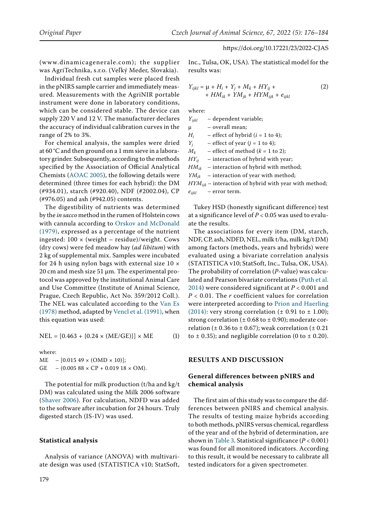(www.dinamicagenerale.com); the supplier was AgriTechnika, s.r.o. (Veľký Meder, Slovakia).

Individual fresh cut samples were placed fresh in the pNIRS sample carrier and immediately measured. Measurements with the AgriNIR portable instrument were done in laboratory conditions, which can be considered stable. The device can supply 220 V and 12 V. The manufacturer declares the accuracy of individual calibration curves in the range of 2% to 3%.

For chemical analysis, the samples were dried at 60 °C and then ground on a 1 mm sieve in a laboratory grinder. Subsequently, according to the methods specified by the Association of Official Analytical Chemists [\(AOAC 2005\)](#page-7-1), the following details were determined (three times for each hybrid): the DM (#934.01), starch (#920.40), NDF (#2002.04), CP (#976.05) and ash (#942.05) contents.

The digestibility of nutrients was determined by the *in sacco* method in the rumen of Holstein cows with cannula according to [Orskov and McDonald](#page-8-12)  [\(1979\)](#page-8-12), expressed as a percentage of the nutrient ingested: 100 × (weight – residue)/weight. Cows (dry cows) were fed meadow hay (*ad libitum*) with 2 kg of supplemental mix. Samples were incubated for 24 h using nylon bags with external size  $10 \times$ 20 cm and mesh size 51 µm. The experimental protocol was approved by the institutional Animal Care and Use Committee (Institute of Animal Science, Prague, Czech Republic, Act No. 359/2012 Coll.). The NEL was calculated according to the [Van Es](#page-8-13)  [\(1978\)](#page-8-13) method, adapted by [Vencl et al. \(1991\)](#page-8-14), when this equation was used:

$$
NEL = [0.463 + \{0.24 \times (ME/GE)\}] \times ME
$$
 (1)

where:

 $ME$  – [0.015 49 × (OMD × 10)]; GE – (0.005 88  $\times$  CP + 0.019 18  $\times$  OM).

The potential for milk production (t/ha and kg/t DM) was calculated using the Milk 2006 software [\(Shaver 2006\)](#page-8-9). For calculation, NDFD was added to the software after incubation for 24 hours. Truly digested starch (IS-IV) was used.

#### **Statistical analysis**

Analysis of variance (ANOVA) with multivariate design was used (STATISTICA v10; StatSoft,

Inc., Tulsa, OK, USA). The statistical model for the results was:

$$
Y_{ijkl} = \mu + H_i + Y_j + M_k + HY_{ij} +
$$
  
+ 
$$
HM_{ik} + YM_{jk} + HYM_{ijk} + e_{ijkl}
$$
 (2)

where:

*Yijkl* – dependent variable;

µ – overall mean;

 $H_i$  – effect of hybrid ( $i = 1$  to 4);

 $Y_i$  – effect of year ( $j = 1$  to 4);

 $M_k$  – effect of method ( $k = 1$  to 2);

 $HY_{ii}$  – interaction of hybrid with year;

*HMik* – interaction of hybrid with method;

*YM<sub>ik</sub>* – interaction of year with method;

 $HYM<sub>ijk</sub>$  – interaction of hybrid with year with method; *eijkl* – error term.

Tukey HSD (honestly significant difference) test at a significance level of *P* < 0.05 was used to evaluate the results.

The associations for every item (DM, starch, NDF, CP, ash, NDFD, NEL, milk t/ha, milk kg/t DM) among factors (methods, years and hybrids) were evaluated using a bivariate correlation analysis (STATISTICA v10; StatSoft, Inc., Tulsa, OK, USA). The probability of correlation (*P*-value) was calculated and Pearson bivariate correlations [\(Puth et al.](#page-8-15) [2014\)](#page-8-15) were considered significant at *P* < 0.001 and *P* < 0.01. The *r* coefficient values for correlation were interpreted according to [Prion and Haerling](#page-8-16) [\(2014\)](#page-8-16): very strong correlation  $(\pm 0.91$  to  $\pm 1.00)$ ; strong correlation ( $\pm$  0.68 to  $\pm$  0.90); moderate correlation ( $\pm$  0.36 to  $\pm$  0.67); weak correlation ( $\pm$  0.21 to  $\pm$  0.35); and negligible correlation (0 to  $\pm$  0.20).

#### **RESULTS AND DISCUSSION**

# **General differences between pNIRS and chemical analysis**

The first aim of this study was to compare the differences between pNIRS and chemical analysis. The results of testing maize hybrids according to both methods, pNIRS versus chemical, regardless of the year and of the hybrid of determination, are shown in Table 3. Statistical significance (*P* < 0.001) was found for all monitored indicators. According to this result, it would be necessary to calibrate all tested indicators for a given spectrometer.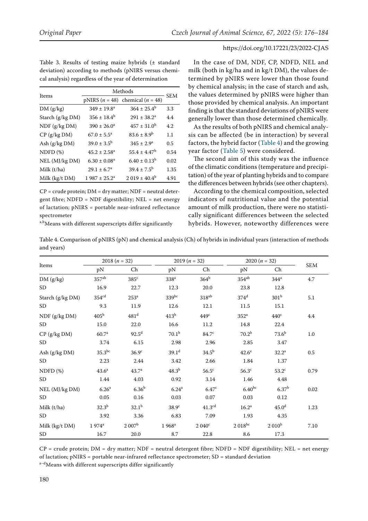| Table 3. Results of testing maize hybrids $(\pm$ standard |
|-----------------------------------------------------------|
| deviation) according to methods (pNIRS versus chemi-      |
| cal analysis) regardless of the year of determination     |

| Items              | Methods                   |                                      |      |  |  |  |
|--------------------|---------------------------|--------------------------------------|------|--|--|--|
|                    |                           | pNIRS $(n = 48)$ chemical $(n = 48)$ | SEM  |  |  |  |
| DM(g/kg)           | $349 \pm 19.8^{\text{a}}$ | $364 \pm 25.4^{\rm b}$               | 3.3  |  |  |  |
| Starch $(g/kg DM)$ | $356 \pm 18.4^b$          | $291 \pm 38.2^a$                     | 4.4  |  |  |  |
| $NDF$ (g/kg DM)    | $390 \pm 26.0^{\circ}$    | $457 \pm 31.0^{\rm b}$               | 4.2. |  |  |  |
| $CP$ (g/kg DM)     | $67.0 \pm 5.5^{\circ}$    | $83.6 \pm 8.9^{\rm b}$               | 1.1  |  |  |  |
| Ash (g/kg DM)      | $39.0 \pm 3.5^{\rm b}$    | $345 \pm 2.9^{\circ}$                | 0.5  |  |  |  |
| NDFD(%)            | $45.2 \pm 2.58^{\circ}$   | $55.4 \pm 4.47^b$                    | 0.54 |  |  |  |
| NEL (MJ/kg DM)     | $6.30 \pm 0.08^a$         | $6.40 \pm 0.13^b$                    | 0.02 |  |  |  |
| Milk $(t/ha)$      | $29.1 \pm 6.7^{\circ}$    | $39.4 \pm 7.5^{\rm b}$               | 1.35 |  |  |  |
| Milk (kg/t DM)     | $1.987 \pm 25.2^{\circ}$  | $2.019 \pm 40.4^b$                   | 4.91 |  |  |  |

CP = crude protein; DM = dry matter; NDF = neutral detergent fibre; NDFD = NDF digestibility; NEL = net energy of lactation; pNIRS = portable near-infrared reflectance spectrometer

a,b<sub>Means</sub> with different superscripts differ significantly

In the case of DM, NDF, CP, NDFD, NEL and milk (both in kg/ha and in kg/t DM), the values determined by pNIRS were lower than those found by chemical analysis; in the case of starch and ash, the values determined by pNIRS were higher than those provided by chemical analysis. An important finding is that the standard deviations of pNIRS were generally lower than those determined chemically.

As the results of both pNIRS and chemical analysis can be affected (be in interaction) by several factors, the hybrid factor (Table 4) and the growing year factor (Table 5) were considered.

The second aim of this study was the influence of the climatic conditions (temperature and precipitation) of the year of planting hybrids and to compare the differences between hybrids (see other chapters).

According to the chemical composition, selected indicators of nutritional value and the potential amount of milk production, there were no statistically significant differences between the selected hybrids. However, noteworthy differences were

Table 4. Comparison of pNIRS (pN) and chemical analysis (Ch) of hybrids in individual years (interaction of methods and years)

|                  | 2018 $(n = 32)$   |                   |                   | 2019 $(n = 32)$    |                   | 2020 $(n = 32)$   |            |
|------------------|-------------------|-------------------|-------------------|--------------------|-------------------|-------------------|------------|
| Items            | pN                | Ch                | pN                | Ch                 | pN                | Ch                | <b>SEM</b> |
| DM(g/kg)         | 357 <sup>ab</sup> | $385^{\circ}$     | 338 <sup>a</sup>  | $364^b$            | $354^{ab}$        | 344 <sup>a</sup>  | 4.7        |
| SD               | 16.9              | 22.7              | 12.3              | 20.0               | 23.8              | 12.8              |            |
| Starch (g/kg DM) | 354 <sup>cd</sup> | 253 <sup>a</sup>  | $339^{bc}$        | $318^{ab}$         | $374^d$           | 301 <sup>b</sup>  | 5.1        |
| <b>SD</b>        | 9.3               | 11.9              | 12.6              | 12.1               | 11.5              | 15.1              |            |
| NDF (g/kg DM)    | 405 <sup>b</sup>  | 481 <sup>d</sup>  | 413 <sup>b</sup>  | 449 <sup>c</sup>   | 352 <sup>a</sup>  | 440 <sup>c</sup>  | 4.4        |
| SD <sub></sub>   | 15.0              | 22.0              | 16.6              | 11.2               | 14.8              | 22.4              |            |
| CP (g/kg DM)     | 60.7 <sup>a</sup> | $92.5^{\rm d}$    | 70.1 <sup>b</sup> | 84.7 <sup>c</sup>  | 70.2 <sup>b</sup> | $73.6^{b}$        | $1.0\,$    |
| <b>SD</b>        | 3.74              | 6.15              | 2.98              | 2.96               | 2.85              | $3.47\,$          |            |
| Ash (g/kg DM)    | $35.3^{bc}$       | 36.9 <sup>c</sup> | 39.1 <sup>d</sup> | $34.5^{\rm b}$     | $42.6^\mathrm{e}$ | 32.2 <sup>a</sup> | $0.5\,$    |
| <b>SD</b>        | 2.23              | 2.44              | 3.42              | 2.66               | 1.84              | 1.37              |            |
| NDFD (%)         | 43.6 <sup>a</sup> | 43.7 <sup>a</sup> | 48.3 <sup>b</sup> | $56.5^{\circ}$     | 56.3 <sup>c</sup> | $53.2^{\circ}$    | 0.79       |
| <b>SD</b>        | 1.44              | 4.03              | 0.92              | 3.14               | 1.46              | 4.48              |            |
| NEL (MJ/kg DM)   | 6.26 <sup>a</sup> | 6.36 <sup>b</sup> | 6.24 <sup>a</sup> | 6.47 <sup>c</sup>  | $6.40^{bc}$       | 6.37 <sup>b</sup> | 0.02       |
| <b>SD</b>        | 0.05              | 0.16              | 0.03              | 0.07               | 0.03              | 0.12              |            |
| Milk (t/ha)      | 32.3 <sup>b</sup> | $32.1^{b}$        | $38.9^\circ$      | 41.3 <sup>cd</sup> | 16.2 <sup>a</sup> | 45.0 <sup>d</sup> | 1.23       |
| SD               | 3.92              | 3.36              | 6.83              | 7.09               | 1.93              | 4.35              |            |
| Milk (kg/t DM)   | $1974^a$          | 2007 <sup>b</sup> | $1968^{\rm a}$    | $2040^{\circ}$     | $2018^{bc}$       | 2010 <sup>b</sup> | 7.10       |
| <b>SD</b>        | 16.7              | 20.0              | 8.7               | 22.8               | 8.6               | 17.3              |            |

 $CP$  = crude protein; DM = dry matter; NDF = neutral detergent fibre; NDFD = NDF digestibility; NEL = net energy of lactation; pNIRS = portable near-infrared reflectance spectrometer; SD = standard deviation

a-dMeans with different superscripts differ significantly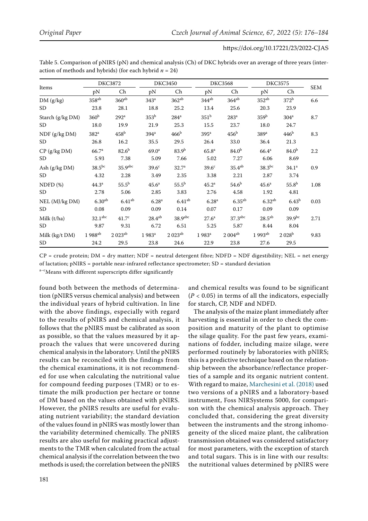| Table 5. Comparison of pNIRS (pN) and chemical analysis (Ch) of DKC hybrids over an average of three years (inter- |  |
|--------------------------------------------------------------------------------------------------------------------|--|
| action of methods and hybrids) (for each hybrid $n = 24$ )                                                         |  |

|                  | <b>DKC3872</b>        |                      | <b>DKC3450</b>    |                    | <b>DKC3568</b>     |                       | <b>DKC3575</b>    |                   | <b>SEM</b> |
|------------------|-----------------------|----------------------|-------------------|--------------------|--------------------|-----------------------|-------------------|-------------------|------------|
| Items            | pN                    | Ch                   | pN                | Ch                 | pN                 | Ch                    | pN                | Ch                |            |
| DM(g/kg)         | $358^{ab}$            | $360^{ab}$           | 343 <sup>a</sup>  | $362^{ab}$         | $344^{ab}$         | $364^{ab}$            | $352^{ab}$        | $372^b$           | 6.6        |
| SD               | 23.8                  | 28.1                 | 18.8              | 25.2               | 13.4               | 25.6                  | 20.3              | 23.9              |            |
| Starch (g/kg DM) | 360 <sup>b</sup>      | 292 <sup>a</sup>     | 353 <sup>b</sup>  | 284 <sup>a</sup>   | 351 <sup>b</sup>   | 283 <sup>a</sup>      | 359 <sup>b</sup>  | 304 <sup>a</sup>  | 8.7        |
| SD               | 18.0                  | 19.9                 | 21.9              | 25.3               | 15.5               | 23.7                  | 18.0              | 24.7              |            |
| NDF (g/kg DM)    | 382 <sup>a</sup>      | 458 <sup>b</sup>     | 394 <sup>a</sup>  | 466 <sup>b</sup>   | $395^{\mathrm{a}}$ | 456 <sup>b</sup>      | 389 <sup>a</sup>  | 446 <sup>b</sup>  | 8.3        |
| <b>SD</b>        | 26.8                  | 16.2                 | 35.5              | 29.5               | 26.4               | 33.0                  | 36.4              | 21.3              |            |
| $CP$ (g/kg DM)   | 66.7 <sup>a</sup>     | $82.6^{b}$           | $69.0^{\rm a}$    | 83.9 <sup>b</sup>  | 65.8 <sup>a</sup>  | 84.0 <sup>b</sup>     | $66.4^{\rm a}$    | 84.0 <sup>b</sup> | 2.2        |
| SD.              | 5.93                  | 7.38                 | 5.09              | 7.66               | 5.02               | 7.27                  | 6.06              | 8.69              |            |
| Ash (g/kg DM)    | $38.5^{bc}$           | 35.9 <sup>abc</sup>  | 39.6 <sup>c</sup> | 32.7 <sup>a</sup>  | 39.6 <sup>c</sup>  | 35.4 <sup>ab</sup>    | $38.3^{bc}$       | 34.1 <sup>a</sup> | 0.9        |
| <b>SD</b>        | 4.32                  | 2.28                 | 3.49              | 2.35               | 3.38               | 2.21                  | 2.87              | 3.74              |            |
| NDPD(%)          | 44.3 <sup>a</sup>     | $55.5^{b}$           | 45.6 <sup>a</sup> | $55.5^{\rm b}$     | 45.2 <sup>a</sup>  | 54.6 <sup>b</sup>     | 45.6 <sup>a</sup> | 55.8 <sup>b</sup> | 1.08       |
| SD               | 2.78                  | 5.06                 | 2.85              | 3.83               | 2.76               | 4.58                  | 1.92              | 4.81              |            |
| NEL (MJ/kg DM)   | 6.30 <sup>ab</sup>    | 6.41 <sup>ab</sup>   | 6.28 <sup>a</sup> | 6.41 <sup>ab</sup> | 6.28 <sup>a</sup>  | $6.35^{ab}$           | $6.32^{ab}$       | 6.43 <sup>b</sup> | 0.03       |
| SD.              | 0.08                  | 0.09                 | 0.09              | 0.14               | 0.07               | 0.17                  | 0.09              | 0.09              |            |
| Milk $(t/ha)$    | $32.1$ <sup>abc</sup> | 41.7 <sup>c</sup>    | $28.4^{ab}$       | $38.9$ abc         | $27.6^{\rm a}$     | $37.3$ <sup>abc</sup> | $28.5^{ab}$       | $39.9^{bc}$       | 2.71       |
| SD               | 9.87                  | 9.31                 | 6.72              | 6.51               | 5.25               | 5.87                  | 8.44              | 8.04              |            |
| Milk (kg/t DM)   | 1 988 <sup>ab</sup>   | $2023$ <sup>ab</sup> | $1983^a$          | $2023^{ab}$        | $1983^a$           | $2004^{ab}$           | $1993^{ab}$       | 2028 <sup>b</sup> | 9.83       |
| <b>SD</b>        | 24.2                  | 29.5                 | 23.8              | 24.6               | 22.9               | 23.8                  | 27.6              | 29.5              |            |

 $CP$  = crude protein; DM = dry matter; NDF = neutral detergent fibre; NDFD = NDF digestibility; NEL = net energy of lactation; pNIRS = portable near-infrared reflectance spectrometer; SD = standard deviation

a-cMeans with different superscripts differ significantly

found both between the methods of determination (pNIRS versus chemical analysis) and between the individual years of hybrid cultivation. In line with the above findings, especially with regard to the results of pNIRS and chemical analysis, it follows that the pNIRS must be calibrated as soon as possible, so that the values measured by it approach the values that were uncovered during chemical analysis in the laboratory. Until the pNIRS results can be reconciled with the findings from the chemical examinations, it is not recommended for use when calculating the nutritional value for compound feeding purposes (TMR) or to estimate the milk production per hectare or tonne of DM based on the values obtained with pNIRS. However, the pNIRS results are useful for evaluating nutrient variability; the standard deviation of the values found in pNIRS was mostly lower than the variability determined chemically. The pNIRS results are also useful for making practical adjustments to the TMR when calculated from the actual chemical analysis if the correlation between the two methods is used; the correlation between the pNIRS

and chemical results was found to be significant  $(P < 0.05)$  in terms of all the indicators, especially for starch, CP, NDF and NDFD.

The analysis of the maize plant immediately after harvesting is essential in order to check the composition and maturity of the plant to optimise the silage quality. For the past few years, examinations of fodder, including maize silage, were performed routinely by laboratories with pNIRS; this is a predictive technique based on the relationship between the absorbance/reflectance properties of a sample and its organic nutrient content. With regard to maize, [Marchesini et al. \(2018\)](#page-8-17) used two versions of a pNIRS and a laboratory-based instrument, Foss NIRSystems 5000, for comparison with the chemical analysis approach. They concluded that, considering the great diversity between the instruments and the strong inhomogeneity of the sliced maize plant, the calibration transmission obtained was considered satisfactory for most parameters, with the exception of starch and total sugars. This is in line with our results: the nutritional values determined by pNIRS were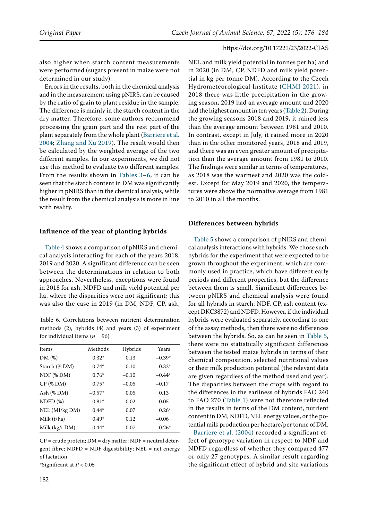also higher when starch content measurements were performed (sugars present in maize were not determined in our study).

Errors in the results, both in the chemical analysis and in the measurement using pNIRS, can be caused by the ratio of grain to plant residue in the sample. The difference is mainly in the starch content in the dry matter. Therefore, some authors recommend processing the grain part and the rest part of the plant separately from the whole plant ([Barriere et al.](#page-8-18)  [2004;](#page-8-18) [Zhang and Xu 2019\)](#page-8-10). The result would then be calculated by the weighted average of the two different samples. In our experiments, we did not use this method to evaluate two different samples. From the results shown in Tables 3–6, it can be seen that the starch content in DM was significantly higher in pNIRS than in the chemical analysis, while the result from the chemical analysis is more in line with reality.

#### **Influence of the year of planting hybrids**

Table 4 shows a comparison of pNIRS and chemical analysis interacting for each of the years 2018, 2019 and 2020. A significant difference can be seen between the determinations in relation to both approaches. Nevertheless, exceptions were found in 2018 for ash, NDFD and milk yield potential per ha, where the disparities were not significant; this was also the case in 2019 (in DM, NDF, CP, ash,

Table 6. Correlations between nutrient determination methods (2), hybrids (4) and years (3) of experiment for individual items ( $n = 96$ )

| Items            | Methods  | Hybrids | Years    |
|------------------|----------|---------|----------|
| DM(%)            | $0.32*$  | 0.13    | $-0.39*$ |
| Starch (% DM)    | $-0.74*$ | 0.10    | $0.32*$  |
| $NDF$ (% DM)     | $0.76*$  | $-0.10$ | $-0.44*$ |
| $CP$ (% DM)      | $0.75*$  | $-0.05$ | $-0.17$  |
| Ash (% DM)       | $-0.57*$ | 0.05    | 0.13     |
| NDFD(%)          | $0.81*$  | $-0.02$ | 0.05     |
| NEL (MJ/kg DM)   | $0.44*$  | 0.07    | $0.26*$  |
| Milk $(t/ha)$    | $0.49*$  | 0.12    | $-0.06$  |
| Milk $(kg/t DM)$ | $0.44*$  | 0.07    | $0.26*$  |

 $CP = crude protein; DM = dry matter; NDF = neutral deter$ gent fibre; NDFD = NDF digestibility; NEL = net energy of lactation

\*Significant at *P* < 0.05

NEL and milk yield potential in tonnes per ha) and in 2020 (in DM, CP, NDFD and milk yield potential in kg per tonne DM). According to the Czech Hydrometeorological Institute ([CHMI 2021](#page-8-11)), in 2018 there was little precipitation in the growing season, 2019 had an average amount and 2020 had the highest amount in ten years (Table 2). During the growing seasons 2018 and 2019, it rained less than the average amount between 1981 and 2010. In contrast, except in July, it rained more in 2020 than in the other monitored years, 2018 and 2019, and there was an even greater amount of precipitation than the average amount from 1981 to 2010. The findings were similar in terms of temperatures, as 2018 was the warmest and 2020 was the coldest. Except for May 2019 and 2020, the temperatures were above the normative average from 1981 to 2010 in all the months.

#### **Differences between hybrids**

Table 5 shows a comparison of pNIRS and chemical analysis interactions with hybrids. We chose such hybrids for the experiment that were expected to be grown throughout the experiment, which are commonly used in practice, which have different early periods and different properties, but the difference between them is small. Significant differences between pNIRS and chemical analysis were found for all hybrids in starch, NDF, CP, ash content (except DKC3872) and NDFD. However, if the individual hybrids were evaluated separately, according to one of the assay methods, then there were no differences between the hybrids. So, as can be seen in Table 5, there were no statistically significant differences between the tested maize hybrids in terms of their chemical composition, selected nutritional values or their milk production potential (the relevant data are given regardless of the method used and year). The disparities between the crops with regard to the differences in the earliness of hybrids FAO 240 to FAO 270 (Table 1) were not therefore reflected in the results in terms of the DM content, nutrient content in DM, NDFD, NEL energy values, or the potential milk production per hectare/per tonne of DM.

[Barriere et al. \(2004\)](#page-8-18) recorded a significant effect of genotype variation in respect to NDF and NDFD regardless of whether they compared 477 or only 27 genotypes. A similar result regarding the significant effect of hybrid and site variations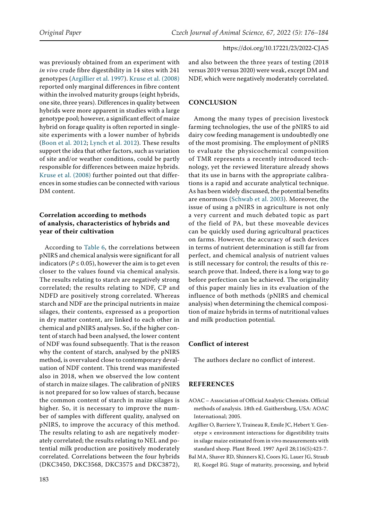was previously obtained from an experiment with *in vivo* crude fibre digestibility in 14 sites with 241 genotypes [\(Argillier et al. 1997](#page-7-2)). [Kruse et al. \(2008\)](#page-8-19) reported only marginal differences in fibre content within the involved maturity groups (eight hybrids, one site, three years). Differences in quality between hybrids were more apparent in studies with a large genotype pool; however, a significant effect of maize hybrid on forage quality is often reported in singlesite experiments with a lower number of hybrids [\(Boon et al. 2012](#page-8-20); [Lynch et al. 2012\)](#page-8-21). These results support the idea that other factors, such as variation of site and/or weather conditions, could be partly responsible for differences between maize hybrids. [Kruse et al. \(2008\)](#page-8-19) further pointed out that differences in some studies can be connected with various DM content.

# **Correlation according to methods of analysis, characteristics of hybrids and year of their cultivation**

According to Table 6, the correlations between pNIRS and chemical analysis were significant for all indicators ( $P \le 0.05$ ), however the aim is to get even closer to the values found via chemical analysis. The results relating to starch are negatively strong correlated; the results relating to NDF, CP and NDFD are positively strong correlated. Whereas starch and NDF are the principal nutrients in maize silages, their contents, expressed as a proportion in dry matter content, are linked to each other in chemical and pNIRS analyses. So, if the higher content of starch had been analysed, the lower content of NDF was found subsequently. That is the reason why the content of starch, analysed by the pNIRS method, is overvalued close to contemporary devaluation of NDF content. This trend was manifested also in 2018, when we observed the low content of starch in maize silages. The calibration of pNIRS is not prepared for so low values of starch, because the common content of starch in maize silages is higher. So, it is necessary to improve the number of samples with different quality, analysed on pNIRS, to improve the accuracy of this method. The results relating to ash are negatively moderately correlated; the results relating to NEL and potential milk production are positively moderately correlated. Correlations between the four hybrids (DKC3450, DKC3568, DKC3575 and DKC3872), and also between the three years of testing (2018 versus 2019 versus 2020) were weak, except DM and NDF, which were negatively moderately correlated.

# **CONCLUSION**

Among the many types of precision livestock farming technologies, the use of the pNIRS to aid dairy cow feeding management is undoubtedly one of the most promising. The employment of pNIRS to evaluate the physicochemical composition of TMR represents a recently introduced technology, yet the reviewed literature already shows that its use in barns with the appropriate calibrations is a rapid and accurate analytical technique. As has been widely discussed, the potential benefits are enormous ([Schwab et al. 2003\)](#page-8-22). Moreover, the issue of using a pNIRS in agriculture is not only a very current and much debated topic as part of the field of PA, but these moveable devices can be quickly used during agricultural practices on farms. However, the accuracy of such devices in terms of nutrient determination is still far from perfect, and chemical analysis of nutrient values is still necessary for control; the results of this research prove that. Indeed, there is a long way to go before perfection can be achieved. The originality of this paper mainly lies in its evaluation of the influence of both methods (pNIRS and chemical analysis) when determining the chemical composition of maize hybrids in terms of nutritional values and milk production potential.

## **Conflict of interest**

The authors declare no conflict of interest.

# **References**

- <span id="page-7-1"></span>AOAC – Association of Official Analytic Chemists. Official methods of analysis. 18th ed. Gaithersburg, USA: AOAC International; 2005.
- <span id="page-7-2"></span>Argillier O, Barriere Y, Traineau R, Emile JC, Hebert Y. Genotype × environment interactions for digestibility traits in silage maize estimated from in vivo measurements with standard sheep. Plant Breed. 1997 April 28;116(5):423-7.
- <span id="page-7-0"></span>Bal MA, Shaver RD, Shinners KJ, Coors JG, Lauer JG, Straub RJ, Koegel RG. Stage of maturity, processing, and hybrid